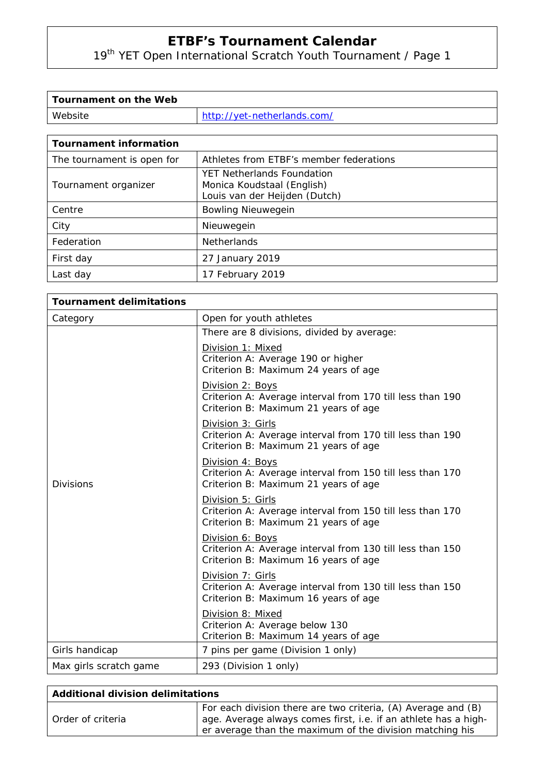19th YET Open International Scratch Youth Tournament / Page 1

| Tournament on the Web |                             |
|-----------------------|-----------------------------|
| Website               | http://yet-netherlands.com/ |

| <b>Tournament information</b> |                                                                                           |
|-------------------------------|-------------------------------------------------------------------------------------------|
| The tournament is open for    | Athletes from ETBF's member federations                                                   |
| Tournament organizer          | YET Netherlands Foundation<br>Monica Koudstaal (English)<br>Louis van der Heijden (Dutch) |
| Centre                        | <b>Bowling Nieuwegein</b>                                                                 |
| City                          | Nieuwegein                                                                                |
| Federation                    | <b>Netherlands</b>                                                                        |
| First day                     | 27 January 2019                                                                           |
| Last day                      | 17 February 2019                                                                          |

| <b>Tournament delimitations</b> |                                                                                                                        |  |
|---------------------------------|------------------------------------------------------------------------------------------------------------------------|--|
| Category                        | Open for youth athletes                                                                                                |  |
|                                 | There are 8 divisions, divided by average:                                                                             |  |
| <b>Divisions</b>                | Division 1: Mixed<br>Criterion A: Average 190 or higher<br>Criterion B: Maximum 24 years of age                        |  |
|                                 | Division 2: Boys<br>Criterion A: Average interval from 170 till less than 190<br>Criterion B: Maximum 21 years of age  |  |
|                                 | Division 3: Girls<br>Criterion A: Average interval from 170 till less than 190<br>Criterion B: Maximum 21 years of age |  |
|                                 | Division 4: Boys<br>Criterion A: Average interval from 150 till less than 170<br>Criterion B: Maximum 21 years of age  |  |
|                                 | Division 5: Girls<br>Criterion A: Average interval from 150 till less than 170<br>Criterion B: Maximum 21 years of age |  |
|                                 | Division 6: Boys<br>Criterion A: Average interval from 130 till less than 150<br>Criterion B: Maximum 16 years of age  |  |
|                                 | Division 7: Girls<br>Criterion A: Average interval from 130 till less than 150<br>Criterion B: Maximum 16 years of age |  |
|                                 | Division 8: Mixed<br>Criterion A: Average below 130<br>Criterion B: Maximum 14 years of age                            |  |
| Girls handicap                  | 7 pins per game (Division 1 only)                                                                                      |  |
| Max girls scratch game          | 293 (Division 1 only)                                                                                                  |  |

| Additional division delimitations |                                                                                                                                                                                              |
|-----------------------------------|----------------------------------------------------------------------------------------------------------------------------------------------------------------------------------------------|
| Order of criteria                 | For each division there are two criteria, (A) Average and (B)<br>age. Average always comes first, i.e. if an athlete has a high-<br>er average than the maximum of the division matching his |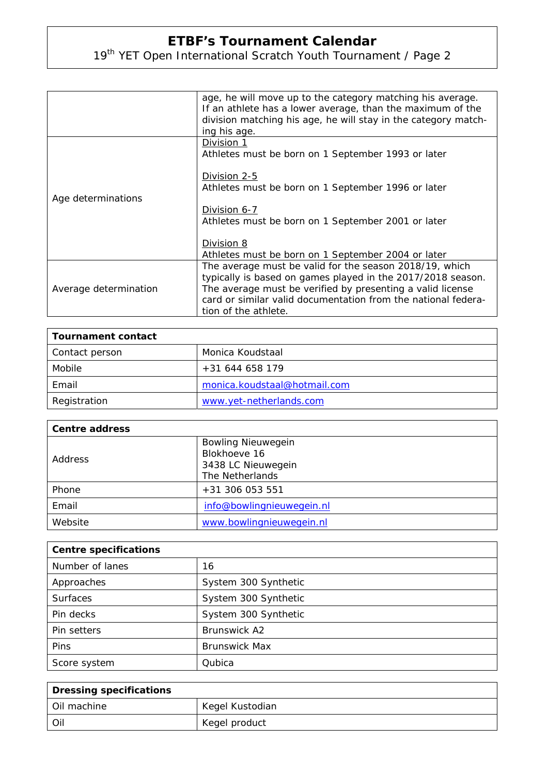# 19th YET Open International Scratch Youth Tournament / Page 2

|                       | age, he will move up to the category matching his average.<br>If an athlete has a lower average, than the maximum of the<br>division matching his age, he will stay in the category match-<br>ing his age.                                                                    |
|-----------------------|-------------------------------------------------------------------------------------------------------------------------------------------------------------------------------------------------------------------------------------------------------------------------------|
| Age determinations    | Division 1<br>Athletes must be born on 1 September 1993 or later                                                                                                                                                                                                              |
|                       | Division 2-5<br>Athletes must be born on 1 September 1996 or later                                                                                                                                                                                                            |
|                       | Division 6-7<br>Athletes must be born on 1 September 2001 or later                                                                                                                                                                                                            |
|                       | Division 8<br>Athletes must be born on 1 September 2004 or later                                                                                                                                                                                                              |
| Average determination | The average must be valid for the season 2018/19, which<br>typically is based on games played in the 2017/2018 season.<br>The average must be verified by presenting a valid license<br>card or similar valid documentation from the national federa-<br>tion of the athlete. |

| Tournament contact |                              |
|--------------------|------------------------------|
| Contact person     | Monica Koudstaal             |
| Mobile             | $+31644658179$               |
| Email              | monica.koudstaal@hotmail.com |
| Registration       | www.yet-netherlands.com      |

| <b>Centre address</b> |                           |
|-----------------------|---------------------------|
| <b>Address</b>        | <b>Bowling Nieuwegein</b> |
|                       | Blokhoeve 16              |
|                       | 3438 LC Nieuwegein        |
|                       | The Netherlands           |
| Phone                 | +31 306 053 551           |
| Email                 | info@bowlingnieuwegein.nl |
| Website               | www.bowlingnieuwegein.nl  |

| <b>Centre specifications</b> |                      |
|------------------------------|----------------------|
| Number of lanes              | 16                   |
| Approaches                   | System 300 Synthetic |
| <b>Surfaces</b>              | System 300 Synthetic |
| Pin decks                    | System 300 Synthetic |
| Pin setters                  | Brunswick A2         |
| Pins                         | <b>Brunswick Max</b> |
| Score system                 | Qubica               |

| Dressing specifications |                 |
|-------------------------|-----------------|
| l Oil machine           | Kegel Kustodian |
| ' Oil                   | Kegel product   |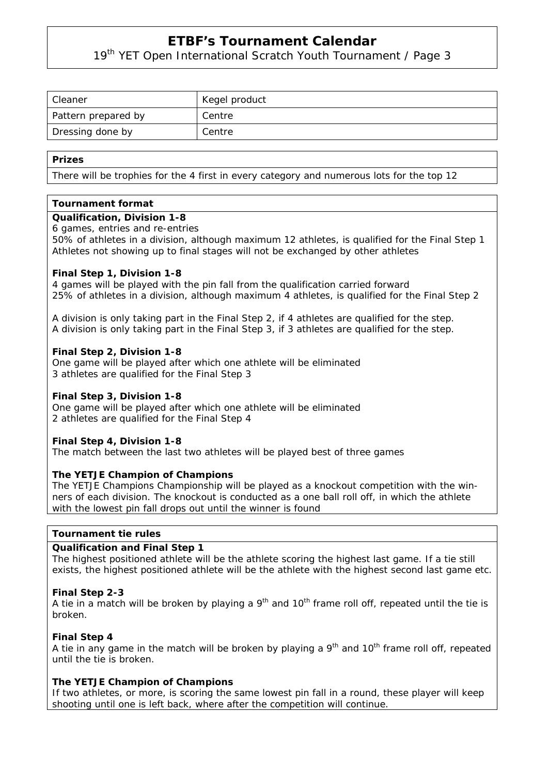19<sup>th</sup> YET Open International Scratch Youth Tournament / Page 3

| Cleaner             | Kegel product |
|---------------------|---------------|
| Pattern prepared by | Centre        |
| Dressing done by    | Centre        |

#### **Prizes**

There will be trophies for the 4 first in every category and numerous lots for the top 12

#### **Tournament format**

#### **Qualification, Division 1-8**

#### 6 games, entries and re-entries

50% of athletes in a division, although maximum 12 athletes, is qualified for the Final Step 1 Athletes not showing up to final stages will not be exchanged by other athletes

#### **Final Step 1, Division 1-8**

4 games will be played with the pin fall from the qualification carried forward 25% of athletes in a division, although maximum 4 athletes, is qualified for the Final Step 2

A division is only taking part in the Final Step 2, if 4 athletes are qualified for the step. A division is only taking part in the Final Step 3, if 3 athletes are qualified for the step.

#### **Final Step 2, Division 1-8**

One game will be played after which one athlete will be eliminated 3 athletes are qualified for the Final Step 3

#### **Final Step 3, Division 1-8**

One game will be played after which one athlete will be eliminated 2 athletes are qualified for the Final Step 4

#### **Final Step 4, Division 1-8**

The match between the last two athletes will be played best of three games

#### **The YETJE Champion of Champions**

The YETJE Champions Championship will be played as a knockout competition with the winners of each division. The knockout is conducted as a one ball roll off, in which the athlete with the lowest pin fall drops out until the winner is found

#### **Tournament tie rules**

#### **Qualification and Final Step 1**

The highest positioned athlete will be the athlete scoring the highest last game. If a tie still exists, the highest positioned athlete will be the athlete with the highest second last game etc.

#### **Final Step 2-3**

A tie in a match will be broken by playing a  $9<sup>th</sup>$  and  $10<sup>th</sup>$  frame roll off, repeated until the tie is broken.

#### **Final Step 4**

A tie in any game in the match will be broken by playing a 9<sup>th</sup> and 10<sup>th</sup> frame roll off, repeated until the tie is broken.

#### **The YETJE Champion of Champions**

If two athletes, or more, is scoring the same lowest pin fall in a round, these player will keep shooting until one is left back, where after the competition will continue.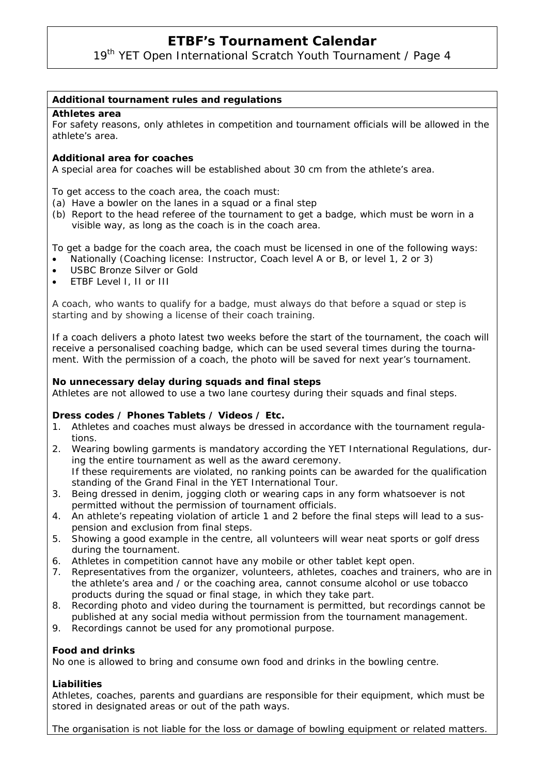19<sup>th</sup> YET Open International Scratch Youth Tournament / Page 4

#### **Additional tournament rules and regulations**

#### **Athletes area**

For safety reasons, only athletes in competition and tournament officials will be allowed in the athlete's area.

#### **Additional area for coaches**

A special area for coaches will be established about 30 cm from the athlete's area.

To get access to the coach area, the coach must:

- (a) Have a bowler on the lanes in a squad or a final step
- (b) Report to the head referee of the tournament to get a badge, which must be worn in a visible way, as long as the coach is in the coach area.

To get a badge for the coach area, the coach must be licensed in one of the following ways:

- Nationally (Coaching license: Instructor, Coach level A or B, or level 1, 2 or 3)
- USBC Bronze Silver or Gold
- ETBF Level I, II or III

A coach, who wants to qualify for a badge, must always do that before a squad or step is starting and by showing a license of their coach training.

If a coach delivers a photo latest two weeks before the start of the tournament, the coach will receive a personalised coaching badge, which can be used several times during the tournament. With the permission of a coach, the photo will be saved for next year's tournament.

#### **No unnecessary delay during squads and final steps**

Athletes are not allowed to use a two lane courtesy during their squads and final steps.

#### **Dress codes / Phones Tablets / Videos / Etc.**

- 1. Athletes and coaches must always be dressed in accordance with the tournament regulations.
- 2. Wearing bowling garments is mandatory according the YET International Regulations, during the entire tournament as well as the award ceremony. If these requirements are violated, no ranking points can be awarded for the qualification standing of the Grand Final in the YET International Tour.
- 3. Being dressed in denim, jogging cloth or wearing caps in any form whatsoever is not permitted without the permission of tournament officials.
- 4. An athlete's repeating violation of article 1 and 2 before the final steps will lead to a suspension and exclusion from final steps.
- 5. Showing a good example in the centre, all volunteers will wear neat sports or golf dress during the tournament.
- 6. Athletes in competition cannot have any mobile or other tablet kept open.<br>7. Representatives from the organizer, volunteers, athletes, coaches and train
- Representatives from the organizer, volunteers, athletes, coaches and trainers, who are in the athlete's area and / or the coaching area, cannot consume alcohol or use tobacco products during the squad or final stage, in which they take part.
- 8. Recording photo and video during the tournament is permitted, but recordings cannot be published at any social media without permission from the tournament management.
- 9. Recordings cannot be used for any promotional purpose.

#### **Food and drinks**

No one is allowed to bring and consume own food and drinks in the bowling centre.

#### **Liabilities**

Athletes, coaches, parents and guardians are responsible for their equipment, which must be stored in designated areas or out of the path ways.

The organisation is not liable for the loss or damage of bowling equipment or related matters.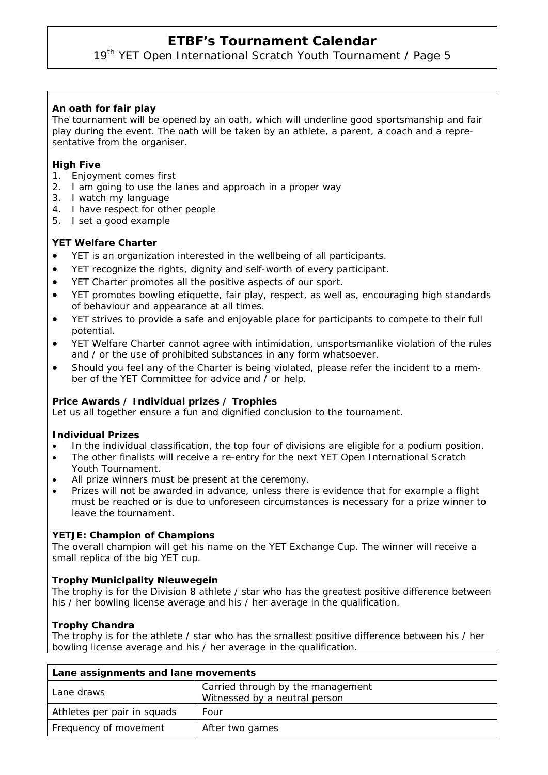19<sup>th</sup> YET Open International Scratch Youth Tournament / Page 5

## **An oath for fair play**

The tournament will be opened by an oath, which will underline good sportsmanship and fair play during the event. The oath will be taken by an athlete, a parent, a coach and a representative from the organiser.

### **High Five**

- 1. Enjoyment comes first
- 2. I am going to use the lanes and approach in a proper way
- 3. I watch my language
- 4. I have respect for other people
- 5. I set a good example

#### **YET Welfare Charter**

- YET is an organization interested in the wellbeing of all participants.
- YET recognize the rights, dignity and self-worth of every participant.
- YET Charter promotes all the positive aspects of our sport.
- YET promotes bowling etiquette, fair play, respect, as well as, encouraging high standards of behaviour and appearance at all times.
- YET strives to provide a safe and enjoyable place for participants to compete to their full potential.
- YET Welfare Charter cannot agree with intimidation, unsportsmanlike violation of the rules and / or the use of prohibited substances in any form whatsoever.
- Should you feel any of the Charter is being violated, please refer the incident to a member of the YET Committee for advice and / or help.

### **Price Awards / Individual prizes / Trophies**

Let us all together ensure a fun and dignified conclusion to the tournament.

#### **Individual Prizes**

- In the individual classification, the top four of divisions are eligible for a podium position.
- The other finalists will receive a re-entry for the next YET Open International Scratch Youth Tournament.
- All prize winners must be present at the ceremony.
- Prizes will not be awarded in advance, unless there is evidence that for example a flight must be reached or is due to unforeseen circumstances is necessary for a prize winner to leave the tournament.

#### **YETJE: Champion of Champions**

The overall champion will get his name on the YET Exchange Cup. The winner will receive a small replica of the big YET cup.

#### **Trophy Municipality Nieuwegein**

The trophy is for the Division 8 athlete / star who has the greatest positive difference between his / her bowling license average and his / her average in the qualification.

### **Trophy Chandra**

The trophy is for the athlete / star who has the smallest positive difference between his / her bowling license average and his / her average in the qualification.

| Lane assignments and lane movements |                                                                    |
|-------------------------------------|--------------------------------------------------------------------|
| Lane draws                          | Carried through by the management<br>Witnessed by a neutral person |
| Athletes per pair in squads         | Four                                                               |
| Frequency of movement               | After two games                                                    |